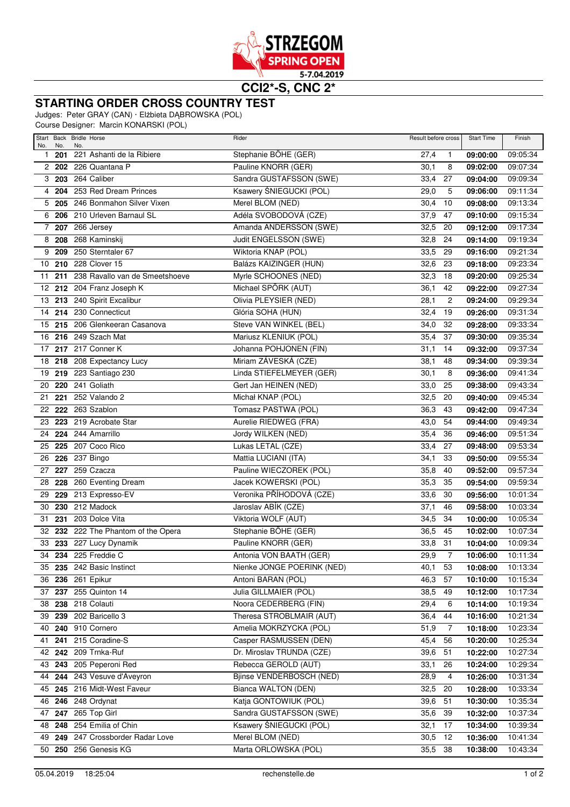

**CCI2\*-S, CNC 2\***

## **STARTING ORDER CROSS COUNTRY TEST**

Judges: Peter GRAY (CAN) · Elżbieta DĄBROWSKA (POL)

Course Designer: Marcin KONARSKI (POL)

| No.          | No.    | Start Back Bridle Horse<br>No.      | Rider                      | Result before cross |                | <b>Start Time</b> | Finish   |
|--------------|--------|-------------------------------------|----------------------------|---------------------|----------------|-------------------|----------|
| $\mathbf{1}$ | 201    | 221 Ashanti de la Ribiere           | Stephanie BÖHE (GER)       | 27,4                | $\mathbf{1}$   | 09:00:00          | 09:05:34 |
|              |        | 2 202 226 Quantana P                | Pauline KNORR (GER)        | 30,1                | 8              | 09:02:00          | 09:07:34 |
|              | 3203   | 264 Caliber                         | Sandra GUSTAFSSON (SWE)    | 33,4                | 27             | 09:04:00          | 09:09:34 |
| 4            | 204    | 253 Red Dream Princes               | Ksawery ŚNIEGUCKI (POL)    | 29,0                | 5              | 09:06:00          | 09:11:34 |
|              |        | 5 205 246 Bonmahon Silver Vixen     | Merel BLOM (NED)           | 30,4                | 10             | 09:08:00          | 09:13:34 |
|              |        | 6 206 210 Urleven Barnaul SL        | Adéla SVOBODOVÁ (CZE)      | 37,9                | 47             | 09:10:00          | 09:15:34 |
| 7            |        | 207 266 Jersey                      | Amanda ANDERSSON (SWE)     | 32,5                | 20             | 09:12:00          | 09:17:34 |
| 8            | 208    | 268 Kaminskij                       | Judit ENGELSSON (SWE)      | 32,8                | 24             | 09:14:00          | 09:19:34 |
| 9            | 209    | 250 Sterntaler 67                   | Wiktoria KNAP (POL)        | 33,5                | 29             | 09:16:00          | 09:21:34 |
|              |        | 10 210 228 Clover 15                | Balázs KAIZINGER (HUN)     | 32,6                | 23             | 09:18:00          | 09:23:34 |
| 11           | 211    | 238 Ravallo van de Smeetshoeve      | Myrle SCHOONES (NED)       | 32,3                | 18             | 09:20:00          | 09:25:34 |
| 12           |        | 212 204 Franz Joseph K              | Michael SPÖRK (AUT)        | 36,1                | 42             | 09:22:00          | 09:27:34 |
| 13           |        | 213 240 Spirit Excalibur            | Olivia PLEYSIER (NED)      | 28,1                | $\overline{c}$ | 09:24:00          | 09:29:34 |
| 14           |        | 214 230 Connecticut                 | Glória SOHA (HUN)          | 32,4                | 19             | 09:26:00          | 09:31:34 |
| 15           |        | 215 206 Glenkeeran Casanova         | Steve VAN WINKEL (BEL)     | 34,0                | 32             | 09:28:00          | 09:33:34 |
| 16           |        | 216 249 Szach Mat                   | Mariusz KLENIUK (POL)      | 35,4                | 37             | 09:30:00          | 09:35:34 |
|              |        | 17 217 217 Conner K                 | Johanna POHJONEN (FIN)     | 31,1                | 14             | 09:32:00          | 09:37:34 |
|              |        | 18 218 208 Expectancy Lucy          | Miriam ZÁVESKÁ (CZE)       | 38,1                | 48             | 09:34:00          | 09:39:34 |
|              |        | 19 219 223 Santiago 230             | Linda STIEFELMEYER (GER)   | 30,1                | 8              | 09:36:00          | 09:41:34 |
| 20           |        | 220 241 Goliath                     | Gert Jan HEINEN (NED)      | 33,0                | 25             | 09:38:00          | 09:43:34 |
| 21           | 221    | 252 Valando 2                       | Michał KNAP (POL)          | 32,5                | 20             | 09:40:00          | 09:45:34 |
| 22           |        | 222 263 Szablon                     | Tomasz PASTWA (POL)        | 36,3                | 43             | 09:42:00          | 09:47:34 |
| 23           |        | 223 219 Acrobate Star               | Aurelie RIEDWEG (FRA)      | 43,0                | 54             | 09:44:00          | 09:49:34 |
| 24           |        | 224 244 Amarrillo                   | Jordy WILKEN (NED)         | 35,4                | 36             | 09:46:00          | 09:51:34 |
| 25           |        | 225 207 Coco Rico                   | Lukas LETAL (CZE)          | 33,4                | 27             | 09:48:00          | 09:53:34 |
| 26           |        | 226 237 Bingo                       | Mattia LUCIANI (ITA)       | 34,1                | 33             | 09:50:00          | 09:55:34 |
| 27           | 227    | 259 Czacza                          | Pauline WIECZOREK (POL)    | 35,8                | 40             | 09:52:00          | 09:57:34 |
| 28           | 228    | 260 Eventing Dream                  | Jacek KOWERSKI (POL)       | 35,3                | 35             | 09:54:00          | 09:59:34 |
| 29           | 229    | 213 Expresso-EV                     | Veronika PŘÍHODOVÁ (CZE)   | 33,6                | 30             | 09:56:00          | 10:01:34 |
| 30           | 230    | 212 Madock                          | Jaroslav ABÍK (CZE)        | 37,1                | 46             | 09:58:00          | 10:03:34 |
| 31           | 231    | 203 Dolce Vita                      | Viktoria WOLF (AUT)        | 34,5                | 34             | 10:00:00          | 10:05:34 |
|              |        | 32 232 222 The Phantom of the Opera | Stephanie BÖHE (GER)       | 36,5                | 45             | 10:02:00          | 10:07:34 |
| 33           |        | 233 227 Lucy Dynamik                | Pauline KNORR (GER)        | 33,8                | 31             | 10:04:00          | 10:09:34 |
|              |        | 34 234 225 Freddie C                | Antonia VON BAATH (GER)    | 29,9                | $\overline{7}$ | 10:06:00          | 10:11:34 |
| 35           |        | 235 242 Basic Instinct              | Nienke JONGE POERINK (NED) | 40,1                | 53             | 10:08:00          | 10:13:34 |
|              |        | 36 236 261 Epikur                   | Antoni BARAN (POL)         | 46,3                | 57             | 10:10:00          | 10:15:34 |
|              |        | 37 237 255 Quinton 14               | Julia GILLMAIER (POL)      | 38,5                | 49             | 10:12:00          | 10:17:34 |
| 38           | 238    | 218 Colauti                         | Noora CEDERBERG (FIN)      | 29,4                | 6              | 10:14:00          | 10:19:34 |
|              | 39 239 | 202 Baricello 3                     | Theresa STROBLMAIR (AUT)   | 36,4                | 44             | 10:16:00          | 10:21:34 |
|              | 40 240 | 910 Cornero                         | Amelia MOKRZYCKA (POL)     | 51,9                | 7              | 10:18:00          | 10:23:34 |
| 41           | 241    | 215 Coradine-S                      | Casper RASMUSSEN (DEN)     | 45,4                | 56             | 10:20:00          | 10:25:34 |
|              |        | 42 242 209 Trnka-Ruf                | Dr. Miroslav TRUNDA (CZE)  | 39,6                | 51             | 10:22:00          | 10:27:34 |
|              | 43 243 | 205 Peperoni Red                    | Rebecca GEROLD (AUT)       | 33,1                | 26             | 10:24:00          | 10:29:34 |
|              | 44 244 | 243 Vesuve d'Aveyron                | Bjinse VENDERBOSCH (NED)   | 28,9                | 4              | 10:26:00          | 10:31:34 |
|              | 45 245 | 216 Midt-West Faveur                | Bianca WALTON (DEN)        | 32,5                | 20             | 10:28:00          | 10:33:34 |
|              |        | 46 246 248 Ordynat                  | Katja GONTOWIUK (POL)      | 39,6                | 51             | 10:30:00          | 10:35:34 |
|              |        | 47 247 265 Top Girl                 | Sandra GUSTAFSSON (SWE)    | 35,6                | 39             | 10:32:00          | 10:37:34 |
|              | 48 248 | 254 Emilia of Chin                  | Ksawery ŚNIEGUCKI (POL)    | 32,1                | 17             | 10:34:00          | 10:39:34 |
|              | 49 249 | 247 Crossborder Radar Love          | Merel BLOM (NED)           | 30,5                | 12             | 10:36:00          | 10:41:34 |
|              |        | 50 250 256 Genesis KG               | Marta ORLOWSKA (POL)       | 35,5 38             |                | 10:38:00          | 10:43:34 |